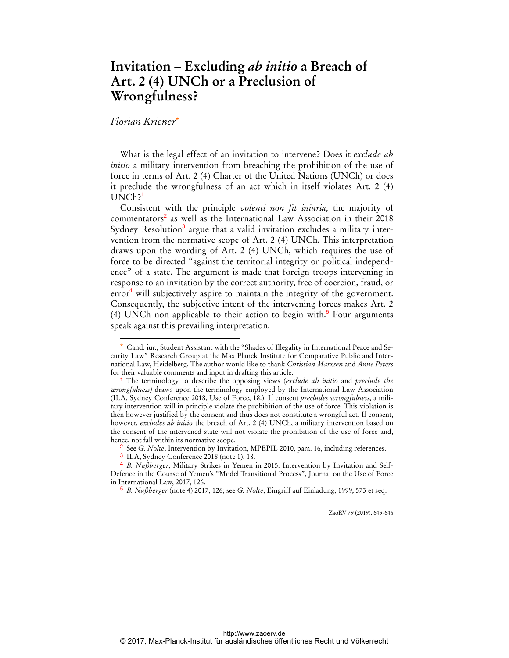## **Invitation – Excluding** *ab initio* **a Breach of Art. 2 (4) UNCh or a Preclusion of Wrongfulness?**

## *Florian Kriener*\*

 $\overline{a}$ 

What is the legal effect of an invitation to intervene? Does it *exclude ab initio* a military intervention from breaching the prohibition of the use of force in terms of Art. 2 (4) Charter of the United Nations (UNCh) or does it preclude the wrongfulness of an act which in itself violates Art. 2 (4) UNCh?

Consistent with the principle *volenti non fit iniuria,* the majority of commentators<sup>2</sup> as well as the International Law Association in their 2018 Sydney Resolution<sup>3</sup> argue that a valid invitation excludes a military intervention from the normative scope of Art. 2 (4) UNCh. This interpretation draws upon the wording of Art. 2 (4) UNCh, which requires the use of force to be directed "against the territorial integrity or political independence" of a state. The argument is made that foreign troops intervening in response to an invitation by the correct authority, free of coercion, fraud, or error<sup>4</sup> will subjectively aspire to maintain the integrity of the government. Consequently, the subjective intent of the intervening forces makes Art. 2 (4) UNCh non-applicable to their action to begin with. $5$  Four arguments speak against this prevailing interpretation.

ZaöRV 79 (2019), 643-646

Cand. iur., Student Assistant with the "Shades of Illegality in International Peace and Security Law" Research Group at the Max Planck Institute for Comparative Public and International Law, Heidelberg. The author would like to thank *Christian Marxsen* and *Anne Peters* for their valuable comments and input in drafting this article.

<sup>1</sup> The terminology to describe the opposing views (*exclude ab initio* and *preclude the wrongfulness)* draws upon the terminology employed by the International Law Association (ILA, Sydney Conference 2018, Use of Force, 18.). If consent *precludes wrongfulness*, a military intervention will in principle violate the prohibition of the use of force. This violation is then however justified by the consent and thus does not constitute a wrongful act. If consent, however, *excludes ab initio* the breach of Art. 2 (4) UNCh, a military intervention based on the consent of the intervened state will not violate the prohibition of the use of force and, hence, not fall within its normative scope.

<sup>2</sup> See *G. Nolte*, Intervention by Invitation, MPEPIL 2010, para. 16, including references.

<sup>3</sup> ILA, Sydney Conference 2018 (note 1), 18.

<sup>4</sup> *B. Nußberger*, Military Strikes in Yemen in 2015: Intervention by Invitation and Self-Defence in the Course of Yemen's "Model Transitional Process", Journal on the Use of Force in International Law, 2017, 126.

<sup>5</sup> *B. Nußberger* (note 4) 2017, 126; see *G. Nolte*, Eingriff auf Einladung, 1999, 573 et seq.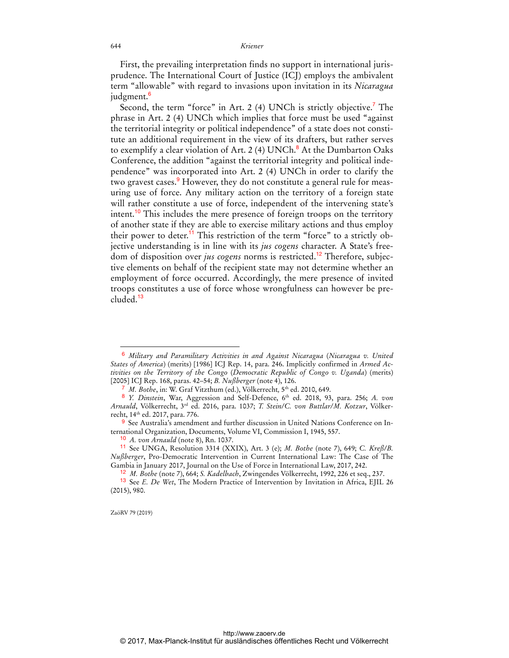## 644 *Kriener*

First, the prevailing interpretation finds no support in international jurisprudence. The International Court of Justice (ICJ) employs the ambivalent term "allowable" with regard to invasions upon invitation in its *Nicaragua* judgment.<sup>6</sup>

Second, the term "force" in Art. 2 (4) UNCh is strictly objective.<sup>7</sup> The phrase in Art. 2 (4) UNCh which implies that force must be used "against the territorial integrity or political independence" of a state does not constitute an additional requirement in the view of its drafters, but rather serves to exemplify a clear violation of Art. 2 (4)  $\text{UNCh.}^8$  At the Dumbarton Oaks Conference, the addition "against the territorial integrity and political independence" was incorporated into Art. 2 (4) UNCh in order to clarify the two gravest cases.<sup>9</sup> However, they do not constitute a general rule for measuring use of force. Any military action on the territory of a foreign state will rather constitute a use of force, independent of the intervening state's intent.<sup>10</sup> This includes the mere presence of foreign troops on the territory of another state if they are able to exercise military actions and thus employ their power to deter.<sup>11</sup> This restriction of the term "force" to a strictly objective understanding is in line with its *jus cogens* character. A State's freedom of disposition over *jus cogens* norms is restricted.<sup>12</sup> Therefore, subjective elements on behalf of the recipient state may not determine whether an employment of force occurred. Accordingly, the mere presence of invited troops constitutes a use of force whose wrongfulness can however be precluded.<sup>13</sup>

ZaöRV 79 (2019)

 $\overline{a}$ 

<sup>6</sup> *Military and Paramilitary Activities in and Against Nicaragua* (*Nicaragua v. United States of America*) (merits) [1986] ICJ Rep. 14, para. 246. Implicitly confirmed in *Armed Activities on the Territory of the Congo* (*Democratic Republic of Congo v. Uganda*) (merits) [2005] ICJ Rep. 168, paras. 42–54; *B. Nußberger* (note 4), 126.

<sup>7</sup> *M. Bothe*, in: W. Graf Vitzthum (ed.), Völkerrecht*,* 5th ed. 2010, 649.

<sup>&</sup>lt;sup>8</sup> *Y. Dinstein*, War, Aggression and Self-Defence, 6<sup>th</sup> ed. 2018, 93, para. 256; *A. von Arnauld*, Völkerrecht, 3rd ed. 2016, para. 1037; *T. Stein/C. von Buttlar/M. Kotzur*, Völkerrecht, 14th ed. 2017, para. 776.

<sup>9</sup> See Australia's amendment and further discussion in United Nations Conference on International Organization, Documents, Volume VI, Commission I, 1945, 557.

<sup>10</sup> *A. von Arnauld* (note 8), Rn. 1037.

<sup>11</sup> See UNGA, Resolution 3314 (XXIX), Art. 3 (e); *M. Bothe* (note 7), 649; *C. Kreß/B. Nußberger*, Pro-Democratic Intervention in Current International Law: The Case of The Gambia in January 2017, Journal on the Use of Force in International Law, 2017, 242.

<sup>12</sup> *M. Bothe* (note 7), 664; *S. Kadelbach*, Zwingendes Völkerrecht, 1992, 226 et seq., 237.

<sup>13</sup> See *E. De Wet*, The Modern Practice of Intervention by Invitation in Africa, EJIL 26 (2015), 980.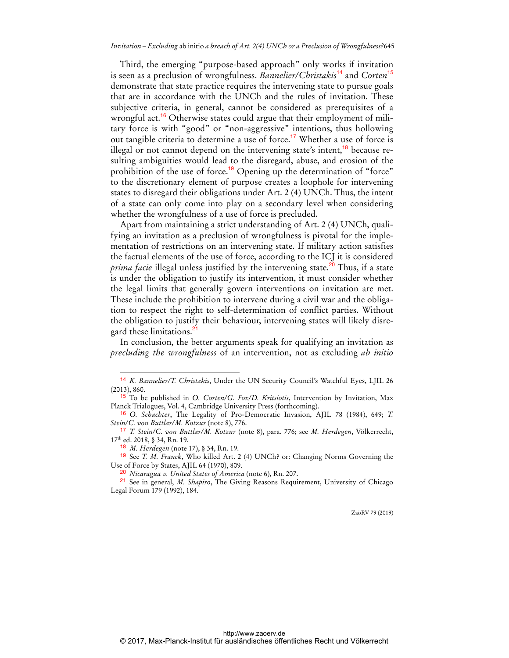Third, the emerging "purpose-based approach" only works if invitation is seen as a preclusion of wrongfulness. *Bannelier/Christakis*<sup>14</sup> and *Corten*<sup>15</sup> demonstrate that state practice requires the intervening state to pursue goals that are in accordance with the UNCh and the rules of invitation. These subjective criteria, in general, cannot be considered as prerequisites of a wrongful act.<sup>16</sup> Otherwise states could argue that their employment of military force is with "good" or "non-aggressive" intentions, thus hollowing out tangible criteria to determine a use of force.<sup>17</sup> Whether a use of force is illegal or not cannot depend on the intervening state's intent,<sup>18</sup> because resulting ambiguities would lead to the disregard, abuse, and erosion of the prohibition of the use of force.<sup>19</sup> Opening up the determination of "force" to the discretionary element of purpose creates a loophole for intervening states to disregard their obligations under Art. 2 (4) UNCh. Thus, the intent of a state can only come into play on a secondary level when considering whether the wrongfulness of a use of force is precluded.

Apart from maintaining a strict understanding of Art. 2 (4) UNCh, qualifying an invitation as a preclusion of wrongfulness is pivotal for the implementation of restrictions on an intervening state. If military action satisfies the factual elements of the use of force, according to the ICJ it is considered *prima facie* illegal unless justified by the intervening state.<sup>20</sup> Thus, if a state is under the obligation to justify its intervention, it must consider whether the legal limits that generally govern interventions on invitation are met. These include the prohibition to intervene during a civil war and the obligation to respect the right to self-determination of conflict parties. Without the obligation to justify their behaviour, intervening states will likely disregard these limitations.<sup>21</sup>

In conclusion, the better arguments speak for qualifying an invitation as *precluding the wrongfulness* of an intervention, not as excluding *ab initio* 

 $\overline{a}$ 

19 See *T. M. Franck*, Who killed Art. 2 (4) UNCh? or: Changing Norms Governing the Use of Force by States, AJIL 64 (1970), 809.

20 *Nicaragua v. United States of America* (note 6), Rn. 207.

21 See in general, *M. Shapiro*, The Giving Reasons Requirement, University of Chicago Legal Forum 179 (1992), 184.

ZaöRV 79 (2019)

<sup>14</sup> *K. Bannelier/T. Christakis*, Under the UN Security Council's Watchful Eyes, LJIL 26 (2013), 860.

<sup>15</sup> To be published in *O. Corten/G. Fox/D. Kritsiotis*, Intervention by Invitation, Max Planck Trialogues, Vol. 4, Cambridge University Press (forthcoming).

<sup>16</sup> *O. Schachter*, The Legality of Pro-Democratic Invasion, AJIL 78 (1984), 649; *T. Stein/C. von Buttlar/M. Kotzur* (note 8), 776.

<sup>17</sup> *T. Stein/C. von Buttlar/M. Kotzur* (note 8), para. 776; see *M. Herdegen*, Völkerrecht, 17th ed. 2018, § 34, Rn. 19.

<sup>18</sup> *M. Herdegen* (note 17), § 34, Rn. 19.